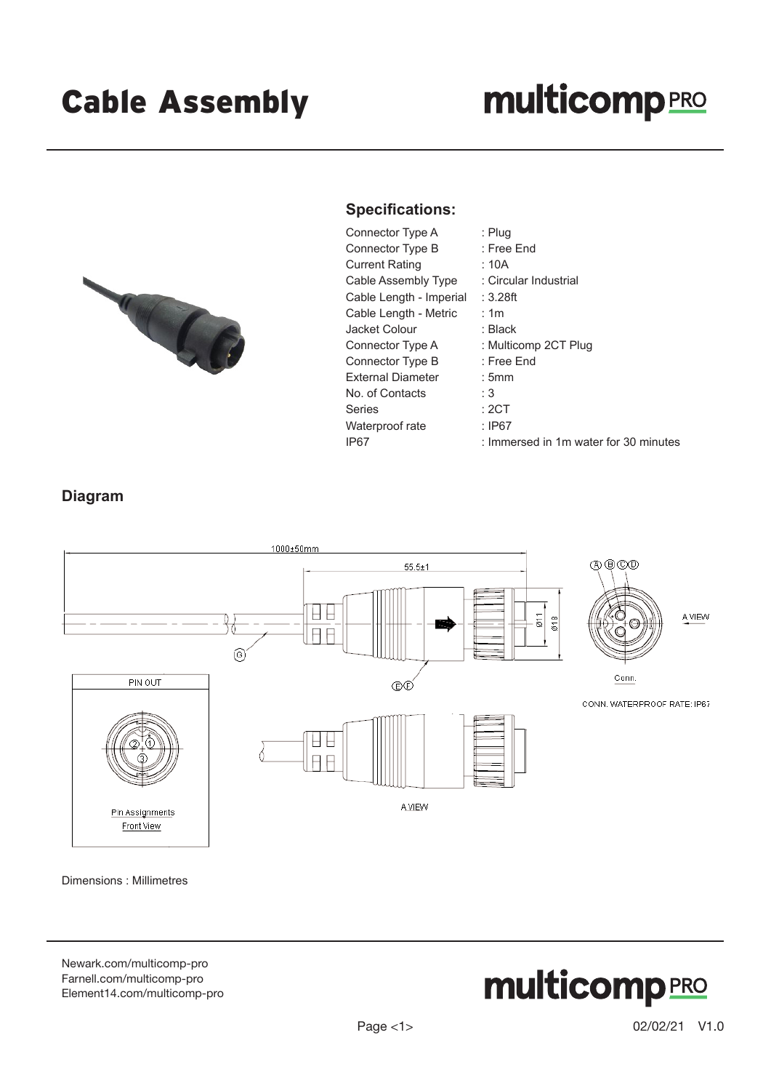# **multicomp**PRO



#### **Specifications:**

Connector Type A : Plug Connector Type B : Free End Current Rating : 10A Cable Assembly Type : Circular Industrial Cable Length - Imperial : 3.28ft Cable Length - Metric : 1m Jacket Colour : Black Connector Type A : Multicomp 2CT Plug Connector Type B : Free End External Diameter : 5mm No. of Contacts : 3 Series : 2CT Waterproof rate : IP67

- 
- 
- 
- 
- 
- -
- 
- 
- 
- 
- 
- 
- IP67 : Immersed in 1m water for 30 minutes

### **Diagram**



Dimensions : Millimetres

[Newark.com/multicomp-](https://www.newark.com/multicomp-pro)pro [Farnell.com/multicomp](https://www.farnell.com/multicomp-pro)-pro [Element14.com/multicomp-pro](https://element14.com/multicomp-pro)